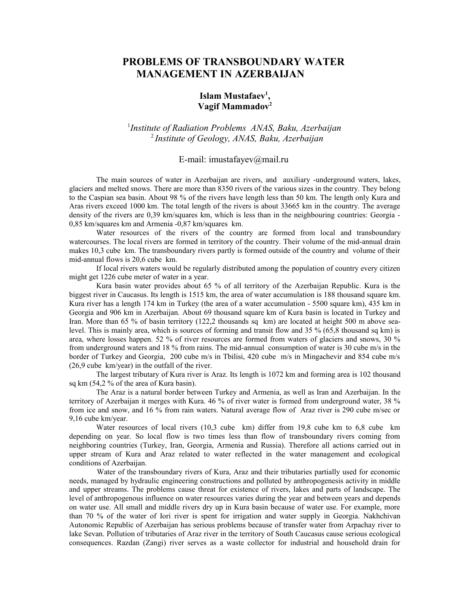## **PROBLEMS OF TRANSBOUNDARY WATER MANAGEMENT IN AZERBAIJAN**

## **Islam Mustafaev<sup>1</sup> , Vagif Mammadov<sup>2</sup>**

## 1 *Institute of Radiation Problems ANAS, Baku, Azerbaijan* <sup>2</sup>*Institute of Geology, ANAS, Baku, Azerbaijan*

## E-mail: imustafayev@mail.ru

The main sources of water in Azerbaijan are rivers, and auxiliary -underground waters, lakes, glaciers and melted snows. There are more than 8350 rivers of the various sizes in the country. They belong to the Caspian sea basin. About 98 % of the rivers have length less than 50 km. The length only Kura and Aras rivers exceed 1000 km. The total length of the rivers is about 33665 km in the country. The average density of the rivers are 0,39 km/squares km, which is less than in the neighbouring countries: Georgia -0,85 km/squares km and Armenia -0,87 km/squares km.

Water resources of the rivers of the country are formed from local and transboundary watercourses. The local rivers are formed in territory of the country. Their volume of the mid-annual drain makes 10,3 cube km. The transboundary rivers partly is formed outside of the country and volume of their mid-annual flows is 20,6 cube km.

If local rivers waters would be regularly distributed among the population of country every citizen might get 1226 cube meter of water in a year.

Kura basin water provides about 65 % of all territory of the Azerbaijan Republic. Kura is the biggest river in Caucasus. Its length is 1515 km, the area of water accumulation is 188 thousand square km. Kura river has a length 174 km in Turkey (the area of a water accumulation - 5500 square km), 435 km in Georgia and 906 km in Azerbaijan. About 69 thousand square km of Kura basin is located in Turkey and Iran. More than 65 % of basin territory (122,2 thousands sq km) are located at height 500 m above sealevel. This is mainly area, which is sources of forming and transit flow and 35 % (65,8 thousand sq km) is area, where losses happen. 52 % of river resources are formed from waters of glaciers and snows, 30 % from underground waters and 18 % from rains. The mid-annual consumption of water is 30 cube m/s in the border of Turkey and Georgia, 200 cube m/s in Tbilisi, 420 cube m/s in Mingachevir and 854 cube m/s (26,9 cube km/year) in the outfall of the river.

The largest tributary of Kura river is Araz. Its length is 1072 km and forming area is 102 thousand sq km (54,2 % of the area of Kura basin).

The Araz is a natural border between Turkey and Armenia, as well as Iran and Azerbaijan. In the territory of Azerbaijan it merges with Kura. 46 % of river water is formed from underground water, 38 % from ice and snow, and 16 % from rain waters. Natural average flow of Araz river is 290 cube m/sec or 9,16 cube km/year.

Water resources of local rivers (10,3 cube km) differ from 19,8 cube km to 6,8 cube km depending on year. So local flow is two times less than flow of transboundary rivers coming from neighboring countries (Turkey, Iran, Georgia, Armenia and Russia). Therefore all actions carried out in upper stream of Kura and Araz related to water reflected in the water management and ecological conditions of Azerbaijan.

Water of the transboundary rivers of Kura, Araz and their tributaries partially used for economic needs, managed by hydraulic engineering constructions and polluted by anthropogenesis activity in middle and upper streams. The problems cause threat for existence of rivers, lakes and parts of landscape. The level of anthropogenous influence on water resources varies during the year and between years and depends on water use. All small and middle rivers dry up in Kura basin because of water use. For example, more than 70 % of the water of Iori river is spent for irrigation and water supply in Georgia. Nakhchivan Autonomic Republic of Azerbaijan has serious problems because of transfer water from Arpachay river to lake Sevan. Pollution of tributaries of Araz river in the territory of South Caucasus cause serious ecological consequences. Razdan (Zangi) river serves as a waste collector for industrial and household drain for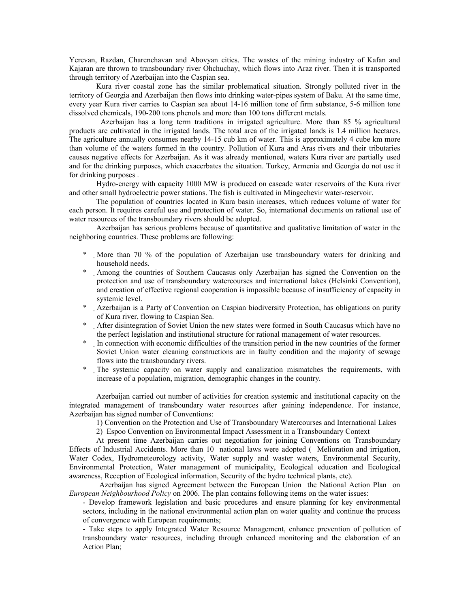Yerevan, Razdan, Charenchavan and Abovyan cities. The wastes of the mining industry of Kafan and Kajaran are thrown to transboundary river Ohchuchay, which flows into Araz river. Then it is transported through territory of Azerbaijan into the Caspian sea.

Kura river coastal zone has the similar problematical situation. Strongly polluted river in the territory of Georgia and Azerbaijan then flows into drinking water-pipes system of Baku. At the same time, every year Kura river carries to Caspian sea about 14-16 million tone of firm substance, 5-6 million tone dissolved chemicals, 190-200 tons phenols and more than 100 tons different metals.

 Azerbaijan has a long term traditions in irrigated agriculture. More than 85 % agricultural products are cultivated in the irrigated lands. The total area of the irrigated lands is 1.4 million hectares. The agriculture annually consumes nearby 14-15 cub km of water. This is approximately 4 cube km more than volume of the waters formed in the country. Pollution of Kura and Aras rivers and their tributaries causes negative effects for Azerbaijan. As it was already mentioned, waters Kura river are partially used and for the drinking purposes, which exacerbates the situation. Turkey, Armenia and Georgia do not use it for drinking purposes .

Hydro-energy with capacity 1000 МW is produced on cascade water reservoirs of the Kura river and other small hydroelectric power stations. The fish is cultivated in Mingechevir water-reservoir.

The population of countries located in Kura basin increases, which reduces volume of water for each person. It requires careful use and protection of water. So, international documents on rational use of water resources of the transboundary rivers should be adopted.

Azerbaijan has serious problems because of quantitative and qualitative limitation of water in the neighboring countries. These problems are following:

- \* More than 70 % of the population of Azerbaijan use transboundary waters for drinking and household needs.
- \* Among the countries of Southern Caucasus only Azerbaijan has signed the Convention on the protection and use of transboundary watercourses and international lakes (Helsinki Convention), and creation of effective regional cooperation is impossible because of insufficiency of capacity in systemic level.
- \* Azerbaijan is a Party of Convention on Caspian biodiversity Protection, has obligations on purity of Kura river, flowing to Caspian Sea.
- \* After disintegration of Soviet Union the new states were formed in South Caucasus which have no the perfect legislation and institutional structure for rational management of water resources.
- \* In connection with economic difficulties of the transition period in the new countries of the former Soviet Union water cleaning constructions are in faulty condition and the majority of sewage flows into the transboundary rivers.
- \* The systemic capacity on water supply and canalization mismatches the requirements, with increase of a population, migration, demographic changes in the country.

Azerbaijan carried out number of activities for creation systemic and institutional capacity on the integrated management of transboundary water resources after gaining independence. For instance, Azerbaijan has signed number of Conventions:

1) Convention on the Protection and Use of Transboundary Watercourses and International Lakes

2) Espoo Convention on Environmental Impact Assessment in a Transboundary Context

At present time Azerbaijan carries out negotiation for joining Conventions on Transboundary Effects of Industrial Accidents. More than 10 national laws were adopted ( Melioration and irrigation, Water Codex, Hydrometeorology activity, Water supply and waster waters, Environmental Security, Environmental Protection, Water management of municipality, Ecological education and Ecological awareness, Reception of Ecological information, Security of the hydro technical plants, etc).

 Azerbaijan has signed Agreement between the European Union the National Action Plan on *European Neighbourhood Policy* on 2006. The plan contains following items on the water issues:

- Develop framework legislation and basic procedures and ensure planning for key environmental sectors, including in the national environmental action plan on water quality and continue the process of convergence with European requirements;

- Take steps to apply Integrated Water Resource Management, enhance prevention of pollution of transboundary water resources, including through enhanced monitoring and the elaboration of an Action Plan;